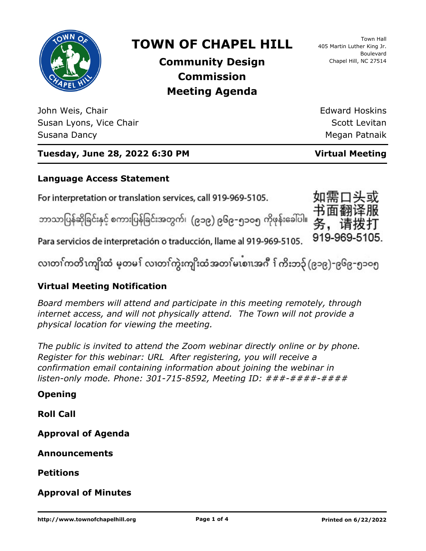

# **TOWN OF CHAPEL HILL**

**Community Design Commission Meeting Agenda**

John Weis, Chair Susan Lyons, Vice Chair Susana Dancy

Town Hall 405 Martin Luther King Jr. Boulevard Chapel Hill, NC 27514

Edward Hoskins Scott Levitan Megan Patnaik

## **Tuesday, June 28, 2022 6:30 PM Virtual Meeting**

### **Language Access Statement**

For interpretation or translation services, call 919-969-5105.

ဘာသာပြန်ဆိုခြင်းနှင့် စကားပြန်ခြင်းအတွက်၊ (၉၁၉) ၉၆၉–၅၁ဝ၅ ကိုဖုန်းခေါ်ပါ။



Para servicios de interpretación o traducción, llame al 919-969-5105.

လ၊တၢ်ကတိၤကျိးထံ မ့တမ႑် လ၊တၢ်ကွဲးကျိးထံအတၤ်မၤစၢ၊အဂီ ႑်ကိးဘ၃် (၉၁၉)–၉၆၉–၅၁၀၅

### **Virtual Meeting Notification**

*Board members will attend and participate in this meeting remotely, through internet access, and will not physically attend. The Town will not provide a physical location for viewing the meeting.*

*The public is invited to attend the Zoom webinar directly online or by phone. Register for this webinar: URL After registering, you will receive a confirmation email containing information about joining the webinar in listen-only mode. Phone: 301-715-8592, Meeting ID: ###-####-####*

### **Opening**

**Roll Call**

**Approval of Agenda**

**Announcements**

**Petitions**

**Approval of Minutes**

http://www.townofchapelhill.org **Page 1 of 4** Printed on 6/22/2022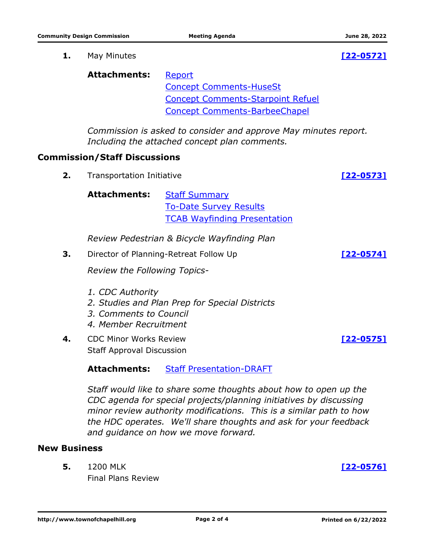**1.** May Minutes **[\[22-0572\]](http://chapelhill.legistar.com/gateway.aspx?m=l&id=/matter.aspx?key=8117)**

| Attachments: | Report                                   |
|--------------|------------------------------------------|
|              | <b>Concept Comments-HuseSt</b>           |
|              | <b>Concept Comments-Starpoint Refuel</b> |
|              | <b>Concept Comments-BarbeeChapel</b>     |

*Commission is asked to consider and approve May minutes report. Including the attached concept plan comments.*

#### **Commission/Staff Discussions**

**2.** Transportation Initiative **[\[22-0573\]](http://chapelhill.legistar.com/gateway.aspx?m=l&id=/matter.aspx?key=8120)**

Attachments: [Staff Summary](http://chapelhill.legistar.com/gateway.aspx?M=F&ID=a8200f27-ae1f-41fb-94d5-a2a0df75f6fb.pdf) [To-Date Survey Results](http://chapelhill.legistar.com/gateway.aspx?M=F&ID=3bef3e1d-df13-4f14-8f0a-25e4bb0c5131.pdf) [TCAB Wayfinding Presentation](http://chapelhill.legistar.com/gateway.aspx?M=F&ID=a77a07a0-6e0c-40c5-8782-b26f9c8864b1.pdf)

*Review Pedestrian & Bicycle Wayfinding Plan*

**3.** Director of Planning-Retreat Follow Up **[\[22-0574\]](http://chapelhill.legistar.com/gateway.aspx?m=l&id=/matter.aspx?key=8118)**

*Review the Following Topics-*

- *1. CDC Authority*
- *2. Studies and Plan Prep for Special Districts*
- *3. Comments to Council*
- *4. Member Recruitment*
- CDC Minor Works Review **4. [\[22-0575\]](http://chapelhill.legistar.com/gateway.aspx?m=l&id=/matter.aspx?key=8119)** Staff Approval Discussion

**Attachments:** [Staff Presentation-DRAFT](http://chapelhill.legistar.com/gateway.aspx?M=F&ID=fcbb50f6-0e1a-4a1a-8b0c-6e6373405540.pptx)

*Staff would like to share some thoughts about how to open up the CDC agenda for special projects/planning initiatives by discussing minor review authority modifications. This is a similar path to how the HDC operates. We'll share thoughts and ask for your feedback and guidance on how we move forward.*

#### **New Business**

1200 MLK Final Plans Review **5. [\[22-0576\]](http://chapelhill.legistar.com/gateway.aspx?m=l&id=/matter.aspx?key=8121)**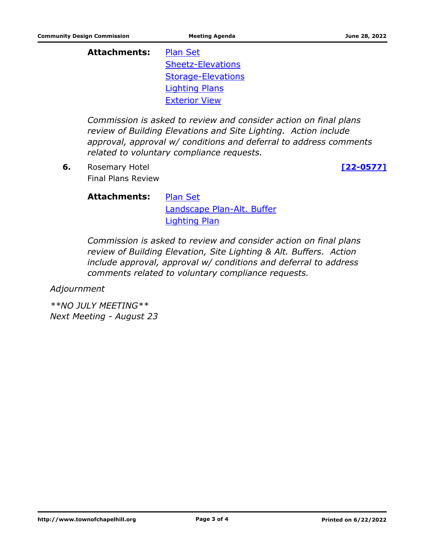**Attachments:** [Plan Set](http://chapelhill.legistar.com/gateway.aspx?M=F&ID=2cc03ea3-1f7f-4f0e-b83b-d3d67382a28d.pdf) [Sheetz-Elevations](http://chapelhill.legistar.com/gateway.aspx?M=F&ID=4c22a3e3-b9f1-4fe3-b4be-aeca21049149.pdf) [Storage-Elevations](http://chapelhill.legistar.com/gateway.aspx?M=F&ID=2095f83e-0088-4bf3-8c6b-034e66f2d106.pdf) [Lighting Plans](http://chapelhill.legistar.com/gateway.aspx?M=F&ID=2a46d083-03f1-4ebc-80b8-1ded43375f80.pdf) [Exterior View](http://chapelhill.legistar.com/gateway.aspx?M=F&ID=b253af6e-3ae3-4414-a876-4fc2c0f51ba0.pdf)

*Commission is asked to review and consider action on final plans review of Building Elevations and Site Lighting. Action include approval, approval w/ conditions and deferral to address comments related to voluntary compliance requests.*

Rosemary Hotel **6. [\[22-0577\]](http://chapelhill.legistar.com/gateway.aspx?m=l&id=/matter.aspx?key=8122)** Final Plans Review

**Attachments:** [Plan Set](http://chapelhill.legistar.com/gateway.aspx?M=F&ID=4b65aa1b-011d-4d4e-8335-dbc72aa42f94.pdf) [Landscape Plan-Alt. Buffer](http://chapelhill.legistar.com/gateway.aspx?M=F&ID=7b44a70f-9ab6-45c7-82e4-64af0ca648f2.pdf) [Lighting Plan](http://chapelhill.legistar.com/gateway.aspx?M=F&ID=f73765ec-066c-48ee-a73b-8f30ee0e29b4.pdf)

*Commission is asked to review and consider action on final plans review of Building Elevation, Site Lighting & Alt. Buffers. Action include approval, approval w/ conditions and deferral to address comments related to voluntary compliance requests.*

*Adjournment*

*\*\*NO JULY MEETING\*\* Next Meeting - August 23*